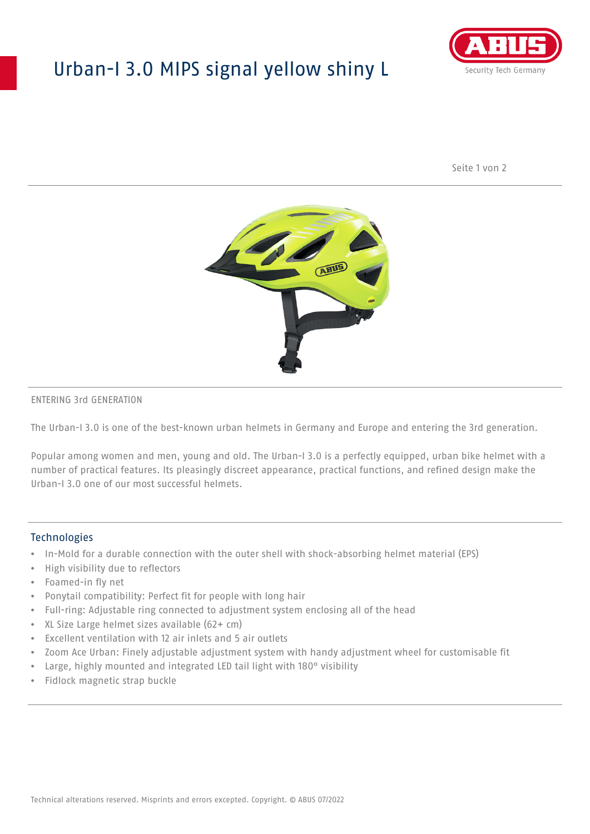## Urban-I 3.0 MIPS signal yellow shiny L



Seite 1 von 2



#### ENTERING 3rd GENERATION

The Urban-I 3.0 is one of the best-known urban helmets in Germany and Europe and entering the 3rd generation.

Popular among women and men, young and old. The Urban-I 3.0 is a perfectly equipped, urban bike helmet with a number of practical features. Its pleasingly discreet appearance, practical functions, and refined design make the Urban-I 3.0 one of our most successful helmets.

#### **Technologies**

- In-Mold for a durable connection with the outer shell with shock-absorbing helmet material (EPS)
- High visibility due to reflectors
- Foamed-in fly net
- Ponytail compatibility: Perfect fit for people with long hair
- Full-ring: Adjustable ring connected to adjustment system enclosing all of the head
- XL Size Large helmet sizes available (62+ cm)
- Excellent ventilation with 12 air inlets and 5 air outlets
- Zoom Ace Urban: Finely adjustable adjustment system with handy adjustment wheel for customisable fit
- Large, highly mounted and integrated LED tail light with 180° visibility
- Fidlock magnetic strap buckle